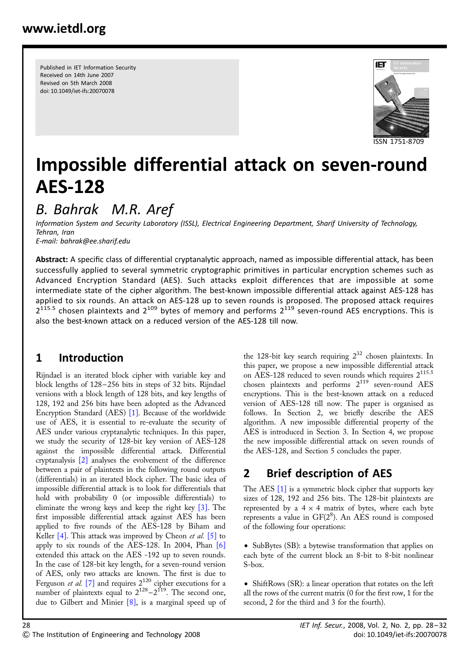Published in IET Information Security Received on 14th June 2007 Revised on 5th March 2008 doi: 10.1049/iet-ifs:20070078



# Impossible differential attack on seven-round AES-128

# B. Bahrak M.R. Aref

Information System and Security Laboratory (ISSL), Electrical Engineering Department, Sharif University of Technology, Tehran, Iran E-mail: bahrak@ee.sharif.edu

Abstract: A specific class of differential cryptanalytic approach, named as impossible differential attack, has been successfully applied to several symmetric cryptographic primitives in particular encryption schemes such as Advanced Encryption Standard (AES). Such attacks exploit differences that are impossible at some intermediate state of the cipher algorithm. The best-known impossible differential attack against AES-128 has applied to six rounds. An attack on AES-128 up to seven rounds is proposed. The proposed attack requires  $2^{115.5}$  chosen plaintexts and  $2^{109}$  bytes of memory and performs  $2^{119}$  seven-round AES encryptions. This is also the best-known attack on a reduced version of the AES-128 till now.

# 1 Introduction

Rijndael is an iterated block cipher with variable key and block lengths of 128 – 256 bits in steps of 32 bits. Rijndael versions with a block length of 128 bits, and key lengths of 128, 192 and 256 bits have been adopted as the Advanced Encryption Standard (AES) [1]. Because of the worldwide use of AES, it is essential to re-evaluate the security of AES under various cryptanalytic techniques. In this paper, we study the security of 128-bit key version of AES-128 against the impossible differential attack. Differential cryptanalysis [2] analyses the evolvement of the difference between a pair of plaintexts in the following round outputs (differentials) in an iterated block cipher. The basic idea of impossible differential attack is to look for differentials that hold with probability 0 (or impossible differentials) to eliminate the wrong keys and keep the right key [3]. The first impossible differential attack against AES has been applied to five rounds of the AES-128 by Biham and Keller [4]. This attack was improved by Cheon et al. [5] to apply to six rounds of the AES-128. In 2004, Phan  $[6]$ extended this attack on the AES -192 up to seven rounds. In the case of 128-bit key length, for a seven-round version of AES, only two attacks are known. The first is due to Ferguson *et al.* [7] and requires  $2^{120}$  cipher executions for a number of plaintexts equal to  $2^{128} - 2^{119}$ . The second one, due to Gilbert and Minier [8], is a marginal speed up of

the 128-bit key search requiring  $2^{32}$  chosen plaintexts. In this paper, we propose a new impossible differential attack on AES-128 reduced to seven rounds which requires  $2^{115.5}$ chosen plaintexts and performs  $2^{119}$  seven-round AES encryptions. This is the best-known attack on a reduced version of AES-128 till now. The paper is organised as follows. In Section 2, we briefly describe the AES algorithm. A new impossible differential property of the AES is introduced in Section 3. In Section 4, we propose the new impossible differential attack on seven rounds of the AES-128, and Section 5 concludes the paper.

# 2 Brief description of AES

The AES [1] is a symmetric block cipher that supports key sizes of 128, 192 and 256 bits. The 128-bit plaintexts are represented by a  $4 \times 4$  matrix of bytes, where each byte represents a value in GF(2<sup>8</sup>). An AES round is composed of the following four operations:

• SubBytes (SB): a bytewise transformation that applies on each byte of the current block an 8-bit to 8-bit nonlinear S-box.

• ShiftRows (SR): a linear operation that rotates on the left all the rows of the current matrix (0 for the first row, 1 for the second, 2 for the third and 3 for the fourth).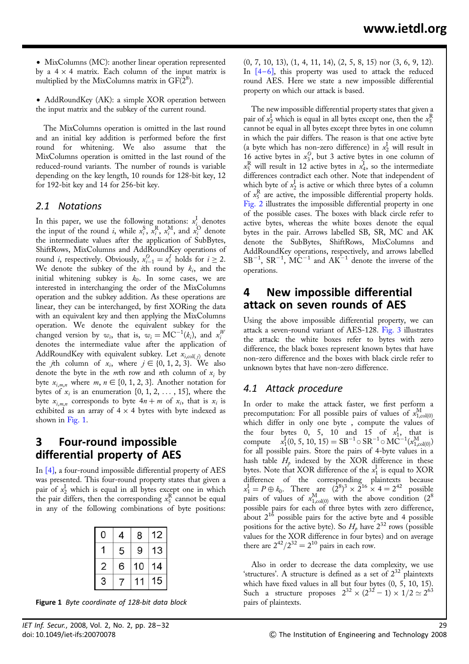• MixColumns (MC): another linear operation represented by a  $4 \times 4$  matrix. Each column of the input matrix is multiplied by the MixColumns matrix in  $GF(2^8)$ .

• AddRoundKey (AK): a simple XOR operation between the input matrix and the subkey of the current round.

The MixColumns operation is omitted in the last round and an initial key addition is performed before the first round for whitening. We also assume that the MixColumns operation is omitted in the last round of the reduced-round variants. The number of rounds is variable depending on the key length, 10 rounds for 128-bit key, 12 for 192-bit key and 14 for 256-bit key.

#### 2.1 Notations

In this paper, we use the following notations:  $x_i^{\text{I}}$  denotes the input of the round *i*, while  $x_i^S$ ,  $\overline{x}_i^R$ ,  $x_i^M$ , and  $\overline{x}_i^O$  denote the intermediate values after the application of SubBytes, ShiftRows, MixColumns and AddRoundKey operations of round *i*, respectively. Obviously,  $x_{i-1}^O = x_i^I$  holds for  $i \geq 2$ . We denote the subkey of the *i*th round by  $k_i$ , and the initial whitening subkey is  $k_0$ . In some cases, we are interested in interchanging the order of the MixColumns operation and the subkey addition. As these operations are linear, they can be interchanged, by first XORing the data with an equivalent key and then applying the MixColumns operation. We denote the equivalent subkey for the changed version by  $w_i$ , that is,  $w_i = \text{MC}^{-1}(k_i)$ , and  $x_i^W$ denotes the intermediate value after the application of AddRoundKey with equivalent subkey. Let  $x_{i,\text{col}(j)}$  denote the *j*th column of  $x_i$ , where  $j \in \{0, 1, 2, 3\}$ . We also denote the byte in the *m*th row and *n*th column of  $x_i$  by byte  $x_{i,m,n}$  where  $m, n \in \{0, 1, 2, 3\}$ . Another notation for bytes of  $x_i$  is an enumeration  $\{0, 1, 2, \ldots, 15\}$ , where the byte  $x_{i,m,n}$  corresponds to byte  $4n+m$  of  $x_i$ , that is  $x_i$  is exhibited as an array of  $4 \times 4$  bytes with byte indexed as shown in Fig. 1.

### 3 Four-round impossible differential property of AES

In [4], a four-round impossible differential property of AES was presented. This four-round property states that given a pair of  $x_2^I$  which is equal in all bytes except one in which the pair differs, then the corresponding  $x_5^R$  cannot be equal in any of the following combinations of byte positions:

| ٥              | 4 | 8  | 12 |
|----------------|---|----|----|
|                | 5 | 9  | 13 |
| $\overline{c}$ | 6 | 10 | 14 |
| 3              |   |    | 15 |

Figure 1 Byte coordinate of 128-bit data block pairs of plaintexts.

(0, 7, 10, 13), (1, 4, 11, 14), (2, 5, 8, 15) nor (3, 6, 9, 12). In  $[4-6]$ , this property was used to attack the reduced round AES. Here we state a new impossible differential property on which our attack is based.

The new impossible differential property states that given a pair of  $x_2^{\text{I}}$  which is equal in all bytes except one, then the  $x_5^{\text{R}}$ cannot be equal in all bytes except three bytes in one column in which the pair differs. The reason is that one active byte (a byte which has non-zero difference) in  $x_2^I$  will result in 16 active bytes in  $x_3^0$ , but 3 active bytes in one column of  $x_5^R$  will result in 12 active bytes in  $x_4^I$ , so the intermediate differences contradict each other. Note that independent of which byte of  $x_2^I$  is active or which three bytes of a column of  $x_5^R$  are active, the impossible differential property holds. Fig. 2 illustrates the impossible differential property in one of the possible cases. The boxes with black circle refer to active bytes, whereas the white boxes denote the equal bytes in the pair. Arrows labelled SB, SR, MC and AK denote the SubBytes, ShiftRows, MixColumns and AddRoundKey operations, respectively, and arrows labelled  $SB^{-1}$ ,  $SR^{-1}$ ,  $MC^{-1}$  and  $AK^{-1}$  denote the inverse of the operations.

#### 4 New impossible differential attack on seven rounds of AES

Using the above impossible differential property, we can attack a seven-round variant of AES-128. Fig. 3 illustrates the attack: the white boxes refer to bytes with zero difference, the black boxes represent known bytes that have non-zero difference and the boxes with black circle refer to unknown bytes that have non-zero difference.

#### 4.1 Attack procedure

In order to make the attack faster, we first perform a precomputation: For all possible pairs of values of  $x_{1,\text{col}(0)}^{\text{M}}$ which differ in only one byte , compute the values of the four bytes 0, 5, 10 and 15 of  $x_1^{\text{I}}$ , that is compute  $x_1^{\text{I}}(0, 5, 10, 15) = \text{SB}^{-1} \circ \text{SR}^{-1} \circ \text{MC}^{-1}(x_{1,\text{col}(0)}^{\text{M}})$ for all possible pairs. Store the pairs of 4-byte values in a hash table  $H_p$  indexed by the XOR difference in these bytes. Note that XOR difference of the  $x_1^I$  is equal to XOR difference of the corresponding plaintexts because  $x_1^I = P \oplus k_0$ . There are  $(2^8)^3 \times 2^{16} \times 4 = 2^{42}$  possible pairs of values of  $x_{1,\text{col}(0)}^M$  with the above condition  $(2^8)$ possible pairs for each of three bytes with zero difference, about  $2^{16}$  possible pairs for the active byte and 4 possible positions for the active byte). So  $H_p$  have  $2^{32}$  rows (possible values for the XOR difference in four bytes) and on average there are  $2^{42}/2^{32} = 2^{10}$  pairs in each row.

Also in order to decrease the data complexity, we use 'structures'. A structure is defined as a set of  $2^{32}$  plaintexts which have fixed values in all but four bytes  $(0, 5, 10, 15)$ . Such a structure proposes  $2^{32} \times (2^{32} - 1) \times 1/2 \simeq 2^{63}$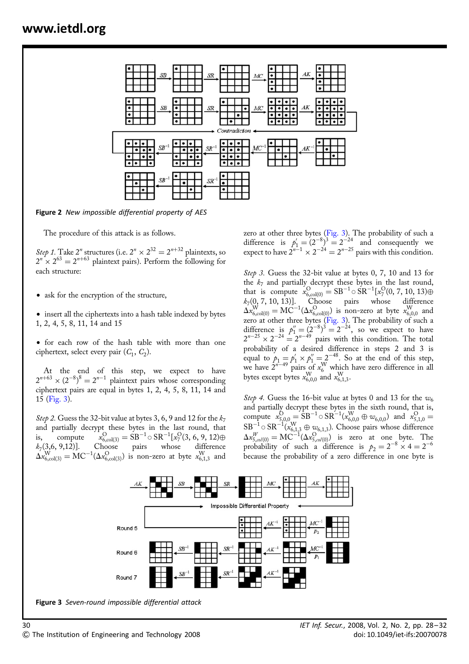

Figure 2 New impossible differential property of AES

The procedure of this attack is as follows.

Step 1. Take 2<sup>n</sup> structures (i.e.  $2^n \times 2^{32} = 2^{n+32}$  plaintexts, so  $2^{n} \times 2^{63} = 2^{n+63}$  plaintext pairs). Perform the following for each structure:

• ask for the encryption of the structure,

• insert all the ciphertexts into a hash table indexed by bytes 1, 2, 4, 5, 8, 11, 14 and 15

• for each row of the hash table with more than one ciphertext, select every pair  $(C_1, C_2)$ .

At the end of this step, we expect to have  $2^{n+63} \times (2^{-8})^8 = 2^{n-1}$  plaintext pairs whose corresponding ciphertext pairs are equal in bytes 1, 2, 4, 5, 8, 11, 14 and 15 (Fig. 3).

Step 2. Guess the 32-bit value at bytes 3, 6, 9 and 12 for the  $k_7$ and partially decrypt these bytes in the last round, that is, compute  $\overset{\text{O}}{_{6,\text{col}(3)}} = \text{SB}^{-1}$ o S $\text{R}^{-1}[x_7^{\text{O}}(3,\,6,\,9,\,12) \oplus$  $k_7(3,6, 9,12)$ ]. Choose pairs whose difference  $\Delta x_{6,\text{col}(3)}^{\text{W}} = \text{MC}^{-1}(\Delta x_{6,\text{col}(3)}^{\text{O}})$  is non-zero at byte  $x_{6,1,3}^{\text{W}}$  and

zero at other three bytes (Fig. 3). The probability of such a difference is  $p'_1 = (2^{-8})^3 = 2^{-24}$  and consequently we expect to have  $2^{n-1} \times 2^{-24} = 2^{n-25}$  pairs with this condition.

Step 3. Guess the 32-bit value at bytes 0, 7, 10 and 13 for the  $k<sub>7</sub>$  and partially decrypt these bytes in the last round, that is compute  $x_{6,\text{col}(0)}^{\text{O}} = \text{SB}^{-1} \circ \text{SR}^{-1}[x_7^{\text{O}}(0, 7, 10, 13) \oplus$  $k_7(0, 7, 10, 13)$ . Choose pairs whose difference  $\Delta x_{6,\mathrm{col}(0)}^\mathrm{W} = \mathrm{MC}^{-1}(\Delta x_{6,\mathrm{col}(0)}^\mathrm{O})$  is non-zero at byte  $x_{6,0,0}^\mathrm{W}$  and zero at other three bytes  $(Fig. 3)$ . The probability of such a difference is  $p_1'' = (2^{-8})^3 = 2^{-24}$ , so we expect to have  $2^{n-25} \times 2^{-24} = 2^{n-49}$  pairs with this condition. The total probability of a desired difference in steps 2 and 3 is equal to  $p_1 = p'_1 \times p''_1 = 2^{-48}$ . So at the end of this step, we have  $2^{n-49}$  pairs of  $x_6^W$  which have zero difference in all bytes except bytes  $x_{6,0,0}^{W}$  and  $x_{6,1,3}^{W}$ .

Step 4. Guess the 16-bit value at bytes 0 and 13 for the  $w_6$ and partially decrypt these bytes in the sixth round, that is, compute  $x_{5,0,0}^{\text{O}} = \text{SB}^{-1} \circ \text{SR}^{-1} (x_{6,0,0}^{\text{W}} \oplus w_{6,0,0})$  and  $x_{5,1,0}^{\text{O}} =$  $SB^{-1}_{\dots} \circ SR^{-1}(x_{6,1,3}^W \oplus \omega_{6,1,3}).$  Choose pairs whose difference  $\Delta x_{5,col(0)}^W = \text{MC}^{-1}(\Delta x_{5,col(0)}^{\text{O}})$  is zero at one byte. The probability of such a difference is  $p_2 = 2^{-8} \times 4 = 2^{-6}$ because the probability of a zero difference in one byte is



Figure 3 Seven-round impossible differential attack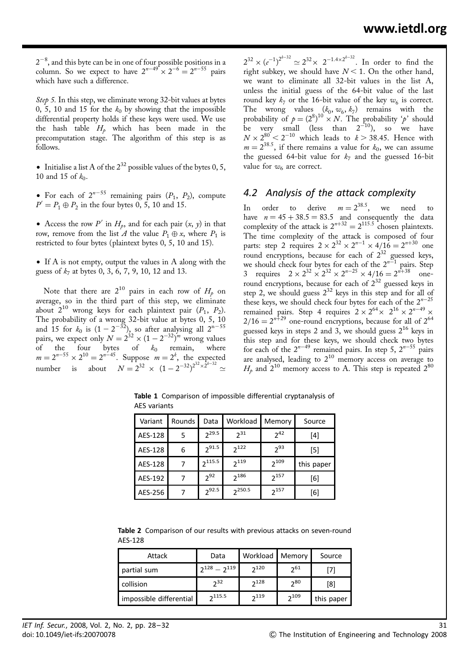$2^{-8}$ , and this byte can be in one of four possible positions in a column. So we expect to have  $2^{n-49} \times 2^{-6} = 2^{n-55}$  pairs which have such a difference.

Step 5. In this step, we eliminate wrong 32-bit values at bytes 0, 5, 10 and 15 for the  $k_0$  by showing that the impossible differential property holds if these keys were used. We use the hash table  $H_p$  which has been made in the precomputation stage. The algorithm of this step is as follows.

• Initialise a list A of the  $2^{32}$  possible values of the bytes 0, 5, 10 and 15 of  $k_0$ .

• For each of  $2^{n-55}$  remaining pairs  $(P_1, P_2)$ , compute  $P' = P_1 \oplus P_2$  in the four bytes 0, 5, 10 and 15.

• Access the row P' in  $H_p$ , and for each pair  $(x, y)$  in that row, remove from the list A the value  $P_1 \oplus x$ , where  $P_1$  is restricted to four bytes (plaintext bytes 0, 5, 10 and 15).

† If A is not empty, output the values in A along with the guess of  $k_7$  at bytes 0, 3, 6, 7, 9, 10, 12 and 13.

Note that there are  $2^{10}$  pairs in each row of  $H_p$  on average, so in the third part of this step, we eliminate about  $2^{10}$  wrong keys for each plaintext pair  $(P_1, P_2)$ . The probability of a wrong 32-bit value at bytes 0, 5, 10 and 15 for  $k_0$  is  $(1 - 2^{-32})$ , so after analysing all  $2^{n-55}$ pairs, we expect only  $N = 2^{32} \times (1 - 2^{-32})^m$  wrong values of the four bytes of  $k_0$  remain, where  $m = 2^{n-55} \times 2^{10} = 2^{n-45}$ . Suppose  $m = 2^k$ , the expected number is about  $N = 2^{32} \times (1 - 2^{-32})^{2^{32} \times 2^{k-32}} \approx$ 

 $2^{32} \times (e^{-1})^{2^{k-32}} \simeq 2^{32} \times 2^{-1.4 \times 2^{k-32}}$ . In order to find the right subkey, we should have  $N < 1$ . On the other hand, we want to eliminate all 32-bit values in the list A, unless the initial guess of the 64-bit value of the last round key  $k_7$  or the 16-bit value of the key  $w_6$  is correct. The wrong values  $(k_0, w_6, k_7)$  remains with the probability of  $p = (2^8)^{10} \times N$ . The probability 'p' should be very small (less than  $2^{-10}$ ), so we have  $N \times 2^{80} < 2^{-10}$  which leads to  $k > 38.45$ . Hence with  $m = 2^{38.5}$ , if there remains a value for  $k_0$ , we can assume the guessed 64-bit value for  $k_7$  and the guessed 16-bit value for  $w_6$  are correct.

#### 4.2 Analysis of the attack complexity

In order to derive  $m=2^{38.5}$ , we need to have  $n = 45 + 38.5 = 83.5$  and consequently the data complexity of the attack is  $2^{n+32} = 2^{115.5}$  chosen plaintexts. The time complexity of the attack is composed of four parts: step 2 requires  $2 \times 2^{32} \times 2^{n-1} \times 4/16 = 2^{n+30}$  one round encryptions, because for each of  $2^{32}$  guessed keys, we should check four bytes for each of the  $2^{n-1}$  pairs. Step 3 requires  $2 \times 2^{32} \times 2^{32} \times 2^{n-25} \times 4/16 = 2^{n+38}$  oneround encryptions, because for each of  $2^{32}$  guessed keys in step 2, we should guess  $2^{32}$  keys in this step and for all of these keys, we should check four bytes for each of the  $2^{n-25}$ remained pairs. Step 4 requires  $2 \times 2^{64} \times 2^{16} \times 2^{n-49} \times$  $2/16 = 2^{n+29}$  one-round encryptions, because for all of  $2^{64}$ guessed keys in steps 2 and 3, we should guess  $2^{16}$  keys in this step and for these keys, we should check two bytes for each of the  $2^{n-49}$  remained pairs. In step 5,  $2^{n-55}$  pairs are analysed, leading to  $2^{10}$  memory access on average to  $H_p$  and  $2^{10}$  memory access to A. This step is repeated  $2^{80}$ 

Variant | Rounds | Data | Workload | Memory | Source AES-128 5  $2^{29.5}$   $2^{31}$   $2^{42}$   $4$ ]  $[4]$ AES-128 6  $2^{91.5}$   $2^{122}$   $2^{93}$  [5] AES-128  $\begin{array}{|c|c|c|c|c|c|}\n\hline\n7 & \text{2}^{115.5} & \text{2}^{119} & \text{2}^{109} & \text{this paper}\n\hline\n\end{array}$ AES-192 7 2<sup>92</sup> 2<sup>186</sup> 2<sup>157</sup> [6] AES-256 7 2<sup>92.5</sup> 2<sup>250.5</sup> 2<sup>157</sup> [6]

Table 1 Comparison of impossible differential cryptanalysis of AES variants

|         | Table 2 Comparison of our results with previous attacks on seven-round |  |  |  |  |
|---------|------------------------------------------------------------------------|--|--|--|--|
| AES-128 |                                                                        |  |  |  |  |

| Attack                  | Data                | Workload   Memory |          | Source     |
|-------------------------|---------------------|-------------------|----------|------------|
| partial sum             | $2^{128} - 2^{119}$ | 2120              | 261      |            |
| collision               | 2 <sup>32</sup>     | $2^{128}$         | $2^{80}$ | [8]        |
| impossible differential | 2115.5              | 2119              | 2109     | this paper |